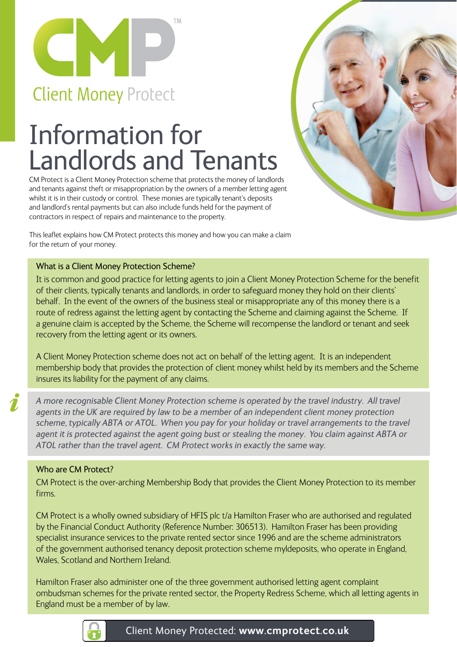

# Information for Landlords and Tenants

CM Protect is a Client Money Protection scheme that protects the money of landlords and tenants against theft or misappropriation by the owners of a member letting agent whilst it is in their custody or control. These monies are typically tenant's deposits and landlord's rental payments but can also include funds held for the payment of contractors in respect of repairs and maintenance to the property.

This leaflet explains how CM Protect protects this money and how you can make a claim for the return of your money.

### What is a Client Money Protection Scheme?

It is common and good practice for letting agents to join a Client Money Protection Scheme for the benefit of their clients, typically tenants and landlords, in order to safeguard money they hold on their clients' behalf. In the event of the owners of the business steal or misappropriate any of this money there is a route of redress against the letting agent by contacting the Scheme and claiming against the Scheme. If a genuine claim is accepted by the Scheme, the Scheme will recompense the landlord or tenant and seek recovery from the letting agent or its owners.

A Client Money Protection scheme does not act on behalf of the letting agent. It is an independent membership body that provides the protection of client money whilst held by its members and the Scheme insures its liability for the payment of any claims.

 $\mathbf{Z}$ 

*A more recognisable Client Money Protection scheme is operated by the travel industry. All travel*  agents in the UK are required by law to be a member of an independent client money protection *scheme, typically ABTA or ATOL. When you pay for your holiday or travel arrangements to the travel agent it is protected against the agent going bust or stealing the money. You claim against ABTA or ATOL rather than the travel agent. CM Protect works in exactly the same way.*

### Who are CM Protect?

CM Protect is the over-arching Membership Body that provides the Client Money Protection to its member firms.

CM Protect is a wholly owned subsidiary of HFIS plc t/a Hamilton Fraser who are authorised and regulated by the Financial Conduct Authority (Reference Number: 306513). Hamilton Fraser has been providing specialist insurance services to the private rented sector since 1996 and are the scheme administrators of the government authorised tenancy deposit protection scheme myldeposits, who operate in England, Wales, Scotland and Northern Ireland.

Hamilton Fraser also administer one of the three government authorised letting agent complaint ombudsman schemes for the private rented sector, the Property Redress Scheme, which all letting agents in England must be a member of by law.

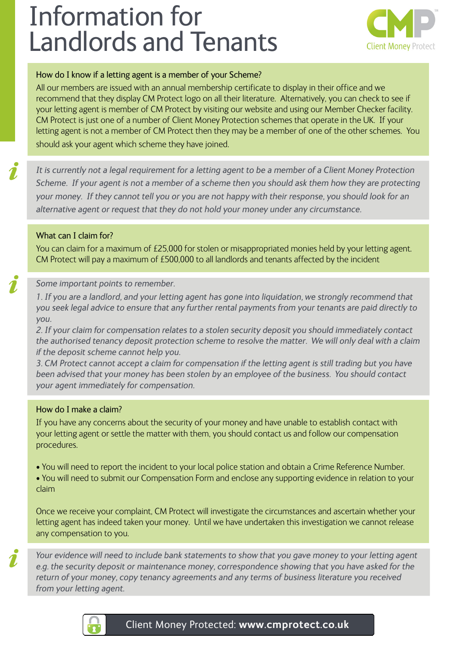# Information for Landlords and Tenants



#### How do I know if a letting agent is a member of your Scheme?

All our members are issued with an annual membership certificate to display in their office and we recommend that they display CM Protect logo on all their literature. Alternatively, you can check to see if your letting agent is member of CM Protect by visiting our website and using our Member Checker facility. CM Protect is just one of a number of Client Money Protection schemes that operate in the UK. If your letting agent is not a member of CM Protect then they may be a member of one of the other schemes. You should ask your agent which scheme they have joined.

*It is currently not a legal requirement for a letting agent to be a member of a Client Money Protection Scheme. If your agent is not a member of a scheme then you should ask them how they are protecting your money. If they cannot tell you or you are not happy with their response, you should look for an alternative agent or request that they do not hold your money under any circumstance.* 

### What can I claim for?

You can claim for a maximum of £25,000 for stolen or misappropriated monies held by your letting agent. CM Protect will pay a maximum of £500,000 to all landlords and tenants affected by the incident

### *Some important points to remember.*

*1. If you are a landlord, and your letting agent has gone into liquidation, we strongly recommend that you seek legal advice to ensure that any further rental payments from your tenants are paid directly to you.* 

*2. If your claim for compensation relates to a stolen security deposit you should immediately contact the authorised tenancy deposit protection scheme to resolve the matter. We will only deal with a claim if the deposit scheme cannot help you.* 

*3. CM Protect cannot accept a claim for compensation if the letting agent is still trading but you have been advised that your money has been stolen by an employee of the business. You should contact your agent immediately for compensation.* 

### How do I make a claim?

If you have any concerns about the security of your money and have unable to establish contact with your letting agent or settle the matter with them, you should contact us and follow our compensation procedures.

- You will need to report the incident to your local police station and obtain a Crime Reference Number.
- You will need to submit our Compensation Form and enclose any supporting evidence in relation to your claim

Once we receive your complaint, CM Protect will investigate the circumstances and ascertain whether your letting agent has indeed taken your money. Until we have undertaken this investigation we cannot release any compensation to you.

*Your evidence will need to include bank statements to show that you gave money to your letting agent e.g. the security deposit or maintenance money, correspondence showing that you have asked for the return of your money, copy tenancy agreements and any terms of business literature you received from your letting agent.*